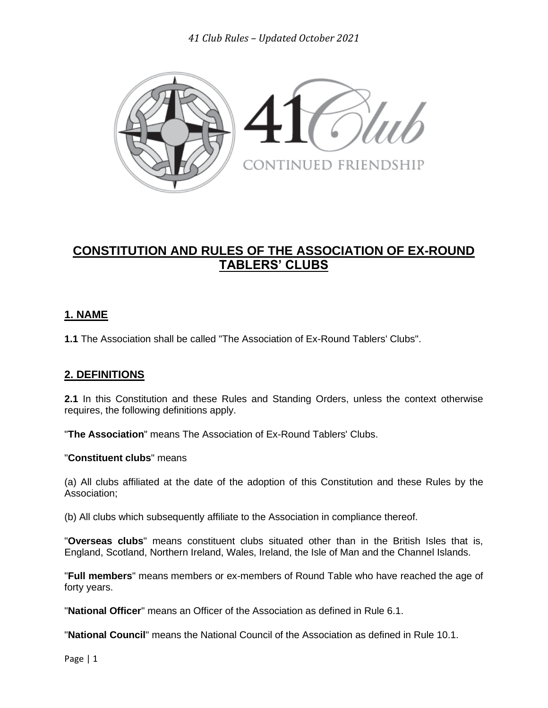*41 Club Rules – Updated October 2021*



# **CONSTITUTION AND RULES OF THE ASSOCIATION OF EX-ROUND TABLERS' CLUBS**

# **1. NAME**

**1.1** The Association shall be called "The Association of Ex-Round Tablers' Clubs".

# **2. DEFINITIONS**

**2.1** In this Constitution and these Rules and Standing Orders, unless the context otherwise requires, the following definitions apply.

"**The Association**" means The Association of Ex-Round Tablers' Clubs.

#### "**Constituent clubs**" means

(a) All clubs affiliated at the date of the adoption of this Constitution and these Rules by the Association;

(b) All clubs which subsequently affiliate to the Association in compliance thereof.

"**Overseas clubs**" means constituent clubs situated other than in the British Isles that is, England, Scotland, Northern Ireland, Wales, Ireland, the Isle of Man and the Channel Islands.

"**Full members**" means members or ex-members of Round Table who have reached the age of forty years.

"**National Officer**" means an Officer of the Association as defined in Rule 6.1.

"**National Council**" means the National Council of the Association as defined in Rule 10.1.

Page | 1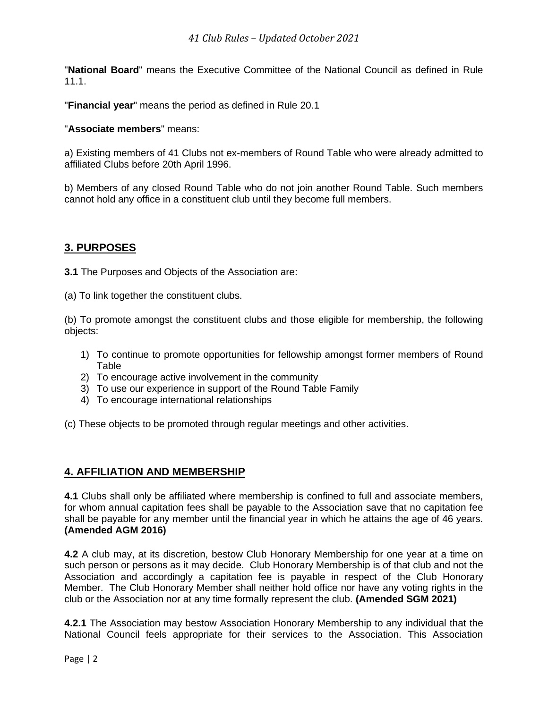"**National Board**" means the Executive Committee of the National Council as defined in Rule 11.1.

"**Financial year**" means the period as defined in Rule 20.1

#### "**Associate members**" means:

a) Existing members of 41 Clubs not ex-members of Round Table who were already admitted to affiliated Clubs before 20th April 1996.

b) Members of any closed Round Table who do not join another Round Table. Such members cannot hold any office in a constituent club until they become full members.

#### **3. PURPOSES**

**3.1** The Purposes and Objects of the Association are:

(a) To link together the constituent clubs.

(b) To promote amongst the constituent clubs and those eligible for membership, the following objects:

- 1) To continue to promote opportunities for fellowship amongst former members of Round Table
- 2) To encourage active involvement in the community
- 3) To use our experience in support of the Round Table Family
- 4) To encourage international relationships

(c) These objects to be promoted through regular meetings and other activities.

#### **4. AFFILIATION AND MEMBERSHIP**

**4.1** Clubs shall only be affiliated where membership is confined to full and associate members, for whom annual capitation fees shall be payable to the Association save that no capitation fee shall be payable for any member until the financial year in which he attains the age of 46 years. **(Amended AGM 2016)**

**4.2** A club may, at its discretion, bestow Club Honorary Membership for one year at a time on such person or persons as it may decide. Club Honorary Membership is of that club and not the Association and accordingly a capitation fee is payable in respect of the Club Honorary Member. The Club Honorary Member shall neither hold office nor have any voting rights in the club or the Association nor at any time formally represent the club. **(Amended SGM 2021)**

**4.2.1** The Association may bestow Association Honorary Membership to any individual that the National Council feels appropriate for their services to the Association. This Association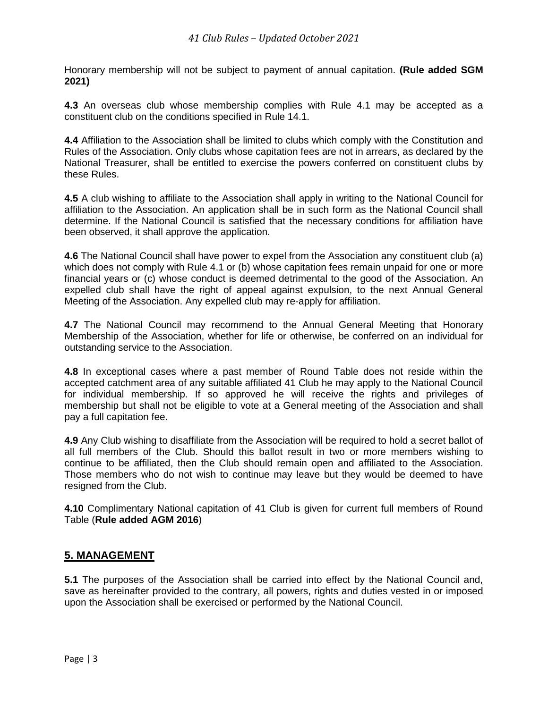Honorary membership will not be subject to payment of annual capitation. **(Rule added SGM 2021)**

**4.3** An overseas club whose membership complies with Rule 4.1 may be accepted as a constituent club on the conditions specified in Rule 14.1.

**4.4** Affiliation to the Association shall be limited to clubs which comply with the Constitution and Rules of the Association. Only clubs whose capitation fees are not in arrears, as declared by the National Treasurer, shall be entitled to exercise the powers conferred on constituent clubs by these Rules.

**4.5** A club wishing to affiliate to the Association shall apply in writing to the National Council for affiliation to the Association. An application shall be in such form as the National Council shall determine. If the National Council is satisfied that the necessary conditions for affiliation have been observed, it shall approve the application.

**4.6** The National Council shall have power to expel from the Association any constituent club (a) which does not comply with Rule 4.1 or (b) whose capitation fees remain unpaid for one or more financial years or (c) whose conduct is deemed detrimental to the good of the Association. An expelled club shall have the right of appeal against expulsion, to the next Annual General Meeting of the Association. Any expelled club may re-apply for affiliation.

**4.7** The National Council may recommend to the Annual General Meeting that Honorary Membership of the Association, whether for life or otherwise, be conferred on an individual for outstanding service to the Association.

**4.8** In exceptional cases where a past member of Round Table does not reside within the accepted catchment area of any suitable affiliated 41 Club he may apply to the National Council for individual membership. If so approved he will receive the rights and privileges of membership but shall not be eligible to vote at a General meeting of the Association and shall pay a full capitation fee.

**4.9** Any Club wishing to disaffiliate from the Association will be required to hold a secret ballot of all full members of the Club. Should this ballot result in two or more members wishing to continue to be affiliated, then the Club should remain open and affiliated to the Association. Those members who do not wish to continue may leave but they would be deemed to have resigned from the Club.

**4.10** Complimentary National capitation of 41 Club is given for current full members of Round Table (**Rule added AGM 2016**)

#### **5. MANAGEMENT**

**5.1** The purposes of the Association shall be carried into effect by the National Council and, save as hereinafter provided to the contrary, all powers, rights and duties vested in or imposed upon the Association shall be exercised or performed by the National Council.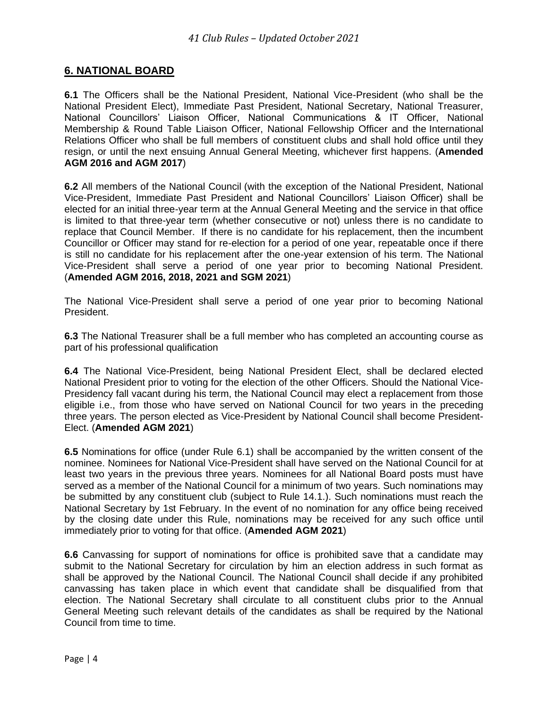#### **6. NATIONAL BOARD**

**6.1** The Officers shall be the National President, National Vice-President (who shall be the National President Elect), Immediate Past President, National Secretary, National Treasurer, National Councillors' Liaison Officer, National Communications & IT Officer, National Membership & Round Table Liaison Officer, National Fellowship Officer and the International Relations Officer who shall be full members of constituent clubs and shall hold office until they resign, or until the next ensuing Annual General Meeting, whichever first happens. (**Amended AGM 2016 and AGM 2017**)

**6.2** All members of the National Council (with the exception of the National President, National Vice-President, Immediate Past President and National Councillors' Liaison Officer) shall be elected for an initial three-year term at the Annual General Meeting and the service in that office is limited to that three-year term (whether consecutive or not) unless there is no candidate to replace that Council Member. If there is no candidate for his replacement, then the incumbent Councillor or Officer may stand for re-election for a period of one year, repeatable once if there is still no candidate for his replacement after the one-year extension of his term. The National Vice-President shall serve a period of one year prior to becoming National President. (**Amended AGM 2016, 2018, 2021 and SGM 2021**)

The National Vice-President shall serve a period of one year prior to becoming National President.

**6.3** The National Treasurer shall be a full member who has completed an accounting course as part of his professional qualification

**6.4** The National Vice-President, being National President Elect, shall be declared elected National President prior to voting for the election of the other Officers. Should the National Vice-Presidency fall vacant during his term, the National Council may elect a replacement from those eligible i.e., from those who have served on National Council for two years in the preceding three years. The person elected as Vice-President by National Council shall become President-Elect. (**Amended AGM 2021**)

**6.5** Nominations for office (under Rule 6.1) shall be accompanied by the written consent of the nominee. Nominees for National Vice-President shall have served on the National Council for at least two years in the previous three years. Nominees for all National Board posts must have served as a member of the National Council for a minimum of two years. Such nominations may be submitted by any constituent club (subject to Rule 14.1.). Such nominations must reach the National Secretary by 1st February. In the event of no nomination for any office being received by the closing date under this Rule, nominations may be received for any such office until immediately prior to voting for that office. (**Amended AGM 2021**)

**6.6** Canvassing for support of nominations for office is prohibited save that a candidate may submit to the National Secretary for circulation by him an election address in such format as shall be approved by the National Council. The National Council shall decide if any prohibited canvassing has taken place in which event that candidate shall be disqualified from that election. The National Secretary shall circulate to all constituent clubs prior to the Annual General Meeting such relevant details of the candidates as shall be required by the National Council from time to time.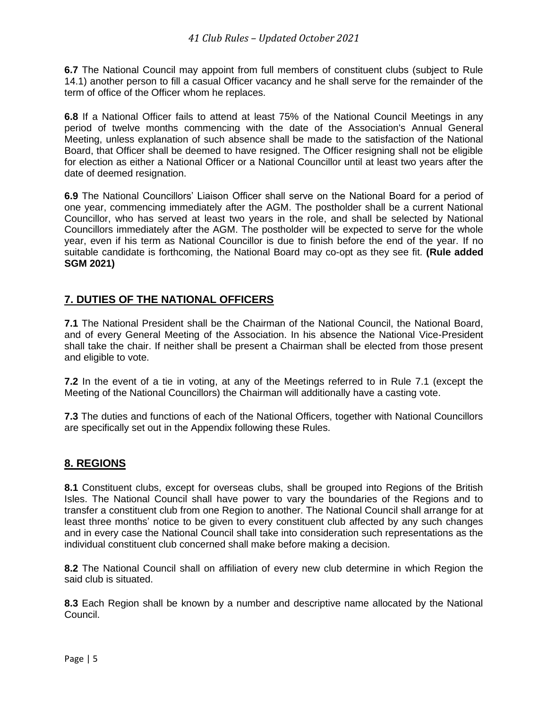**6.7** The National Council may appoint from full members of constituent clubs (subject to Rule 14.1) another person to fill a casual Officer vacancy and he shall serve for the remainder of the term of office of the Officer whom he replaces.

**6.8** If a National Officer fails to attend at least 75% of the National Council Meetings in any period of twelve months commencing with the date of the Association's Annual General Meeting, unless explanation of such absence shall be made to the satisfaction of the National Board, that Officer shall be deemed to have resigned. The Officer resigning shall not be eligible for election as either a National Officer or a National Councillor until at least two years after the date of deemed resignation.

**6.9** The National Councillors' Liaison Officer shall serve on the National Board for a period of one year, commencing immediately after the AGM. The postholder shall be a current National Councillor, who has served at least two years in the role, and shall be selected by National Councillors immediately after the AGM. The postholder will be expected to serve for the whole year, even if his term as National Councillor is due to finish before the end of the year. If no suitable candidate is forthcoming, the National Board may co-opt as they see fit. **(Rule added SGM 2021)**

## **7. DUTIES OF THE NATIONAL OFFICERS**

**7.1** The National President shall be the Chairman of the National Council, the National Board, and of every General Meeting of the Association. In his absence the National Vice-President shall take the chair. If neither shall be present a Chairman shall be elected from those present and eligible to vote.

**7.2** In the event of a tie in voting, at any of the Meetings referred to in Rule 7.1 (except the Meeting of the National Councillors) the Chairman will additionally have a casting vote.

**7.3** The duties and functions of each of the National Officers, together with National Councillors are specifically set out in the Appendix following these Rules.

#### **8. REGIONS**

**8.1** Constituent clubs, except for overseas clubs, shall be grouped into Regions of the British Isles. The National Council shall have power to vary the boundaries of the Regions and to transfer a constituent club from one Region to another. The National Council shall arrange for at least three months' notice to be given to every constituent club affected by any such changes and in every case the National Council shall take into consideration such representations as the individual constituent club concerned shall make before making a decision.

**8.2** The National Council shall on affiliation of every new club determine in which Region the said club is situated.

**8.3** Each Region shall be known by a number and descriptive name allocated by the National Council.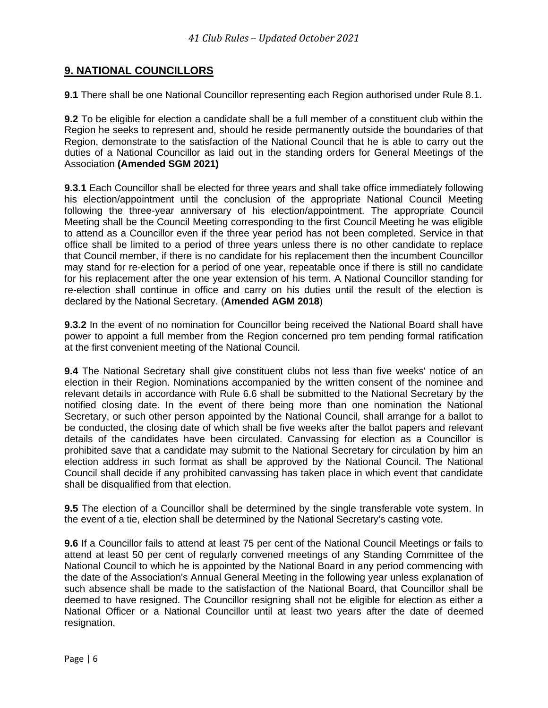## **9. NATIONAL COUNCILLORS**

**9.1** There shall be one National Councillor representing each Region authorised under Rule 8.1.

**9.2** To be eligible for election a candidate shall be a full member of a constituent club within the Region he seeks to represent and, should he reside permanently outside the boundaries of that Region, demonstrate to the satisfaction of the National Council that he is able to carry out the duties of a National Councillor as laid out in the standing orders for General Meetings of the Association **(Amended SGM 2021)**

**9.3.1** Each Councillor shall be elected for three years and shall take office immediately following his election/appointment until the conclusion of the appropriate National Council Meeting following the three-year anniversary of his election/appointment. The appropriate Council Meeting shall be the Council Meeting corresponding to the first Council Meeting he was eligible to attend as a Councillor even if the three year period has not been completed. Service in that office shall be limited to a period of three years unless there is no other candidate to replace that Council member, if there is no candidate for his replacement then the incumbent Councillor may stand for re-election for a period of one year, repeatable once if there is still no candidate for his replacement after the one year extension of his term. A National Councillor standing for re-election shall continue in office and carry on his duties until the result of the election is declared by the National Secretary. (**Amended AGM 2018**)

**9.3.2** In the event of no nomination for Councillor being received the National Board shall have power to appoint a full member from the Region concerned pro tem pending formal ratification at the first convenient meeting of the National Council.

**9.4** The National Secretary shall give constituent clubs not less than five weeks' notice of an election in their Region. Nominations accompanied by the written consent of the nominee and relevant details in accordance with Rule 6.6 shall be submitted to the National Secretary by the notified closing date. In the event of there being more than one nomination the National Secretary, or such other person appointed by the National Council, shall arrange for a ballot to be conducted, the closing date of which shall be five weeks after the ballot papers and relevant details of the candidates have been circulated. Canvassing for election as a Councillor is prohibited save that a candidate may submit to the National Secretary for circulation by him an election address in such format as shall be approved by the National Council. The National Council shall decide if any prohibited canvassing has taken place in which event that candidate shall be disqualified from that election.

**9.5** The election of a Councillor shall be determined by the single transferable vote system. In the event of a tie, election shall be determined by the National Secretary's casting vote.

**9.6** If a Councillor fails to attend at least 75 per cent of the National Council Meetings or fails to attend at least 50 per cent of regularly convened meetings of any Standing Committee of the National Council to which he is appointed by the National Board in any period commencing with the date of the Association's Annual General Meeting in the following year unless explanation of such absence shall be made to the satisfaction of the National Board, that Councillor shall be deemed to have resigned. The Councillor resigning shall not be eligible for election as either a National Officer or a National Councillor until at least two years after the date of deemed resignation.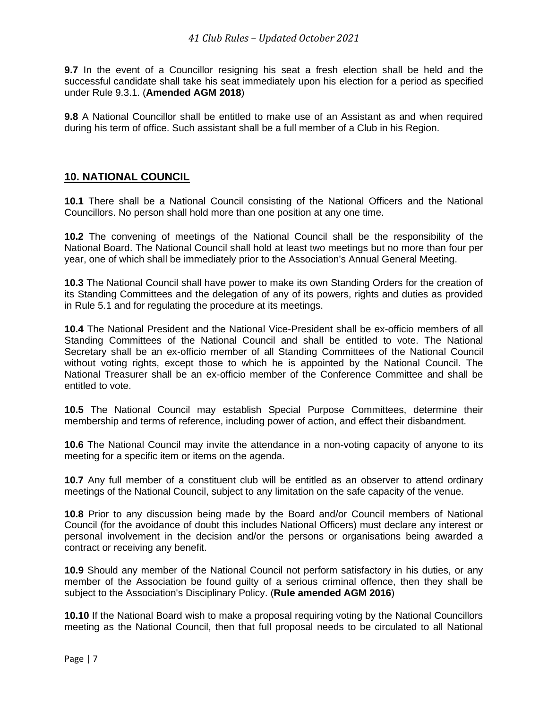**9.7** In the event of a Councillor resigning his seat a fresh election shall be held and the successful candidate shall take his seat immediately upon his election for a period as specified under Rule 9.3.1. (**Amended AGM 2018**)

**9.8** A National Councillor shall be entitled to make use of an Assistant as and when required during his term of office. Such assistant shall be a full member of a Club in his Region.

#### **10. NATIONAL COUNCIL**

**10.1** There shall be a National Council consisting of the National Officers and the National Councillors. No person shall hold more than one position at any one time.

**10.2** The convening of meetings of the National Council shall be the responsibility of the National Board. The National Council shall hold at least two meetings but no more than four per year, one of which shall be immediately prior to the Association's Annual General Meeting.

**10.3** The National Council shall have power to make its own Standing Orders for the creation of its Standing Committees and the delegation of any of its powers, rights and duties as provided in Rule 5.1 and for regulating the procedure at its meetings.

**10.4** The National President and the National Vice-President shall be ex-officio members of all Standing Committees of the National Council and shall be entitled to vote. The National Secretary shall be an ex-officio member of all Standing Committees of the National Council without voting rights, except those to which he is appointed by the National Council. The National Treasurer shall be an ex-officio member of the Conference Committee and shall be entitled to vote.

**10.5** The National Council may establish Special Purpose Committees, determine their membership and terms of reference, including power of action, and effect their disbandment.

**10.6** The National Council may invite the attendance in a non-voting capacity of anyone to its meeting for a specific item or items on the agenda.

**10.7** Any full member of a constituent club will be entitled as an observer to attend ordinary meetings of the National Council, subject to any limitation on the safe capacity of the venue.

**10.8** Prior to any discussion being made by the Board and/or Council members of National Council (for the avoidance of doubt this includes National Officers) must declare any interest or personal involvement in the decision and/or the persons or organisations being awarded a contract or receiving any benefit.

**10.9** Should any member of the National Council not perform satisfactory in his duties, or any member of the Association be found guilty of a serious criminal offence, then they shall be subject to the Association's Disciplinary Policy. (**Rule amended AGM 2016**)

**10.10** If the National Board wish to make a proposal requiring voting by the National Councillors meeting as the National Council, then that full proposal needs to be circulated to all National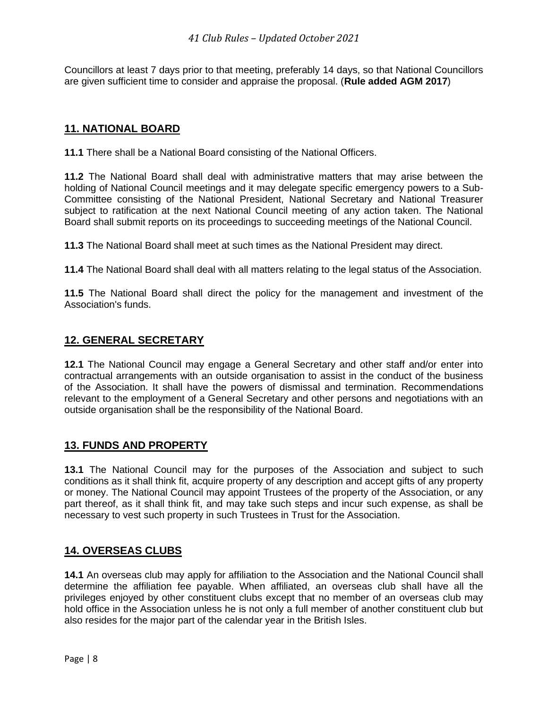Councillors at least 7 days prior to that meeting, preferably 14 days, so that National Councillors are given sufficient time to consider and appraise the proposal. (**Rule added AGM 2017**)

## **11. NATIONAL BOARD**

**11.1** There shall be a National Board consisting of the National Officers.

**11.2** The National Board shall deal with administrative matters that may arise between the holding of National Council meetings and it may delegate specific emergency powers to a Sub-Committee consisting of the National President, National Secretary and National Treasurer subject to ratification at the next National Council meeting of any action taken. The National Board shall submit reports on its proceedings to succeeding meetings of the National Council.

**11.3** The National Board shall meet at such times as the National President may direct.

**11.4** The National Board shall deal with all matters relating to the legal status of the Association.

**11.5** The National Board shall direct the policy for the management and investment of the Association's funds.

#### **12. GENERAL SECRETARY**

**12.1** The National Council may engage a General Secretary and other staff and/or enter into contractual arrangements with an outside organisation to assist in the conduct of the business of the Association. It shall have the powers of dismissal and termination. Recommendations relevant to the employment of a General Secretary and other persons and negotiations with an outside organisation shall be the responsibility of the National Board.

#### **13. FUNDS AND PROPERTY**

**13.1** The National Council may for the purposes of the Association and subject to such conditions as it shall think fit, acquire property of any description and accept gifts of any property or money. The National Council may appoint Trustees of the property of the Association, or any part thereof, as it shall think fit, and may take such steps and incur such expense, as shall be necessary to vest such property in such Trustees in Trust for the Association.

#### **14. OVERSEAS CLUBS**

**14.1** An overseas club may apply for affiliation to the Association and the National Council shall determine the affiliation fee payable. When affiliated, an overseas club shall have all the privileges enjoyed by other constituent clubs except that no member of an overseas club may hold office in the Association unless he is not only a full member of another constituent club but also resides for the major part of the calendar year in the British Isles.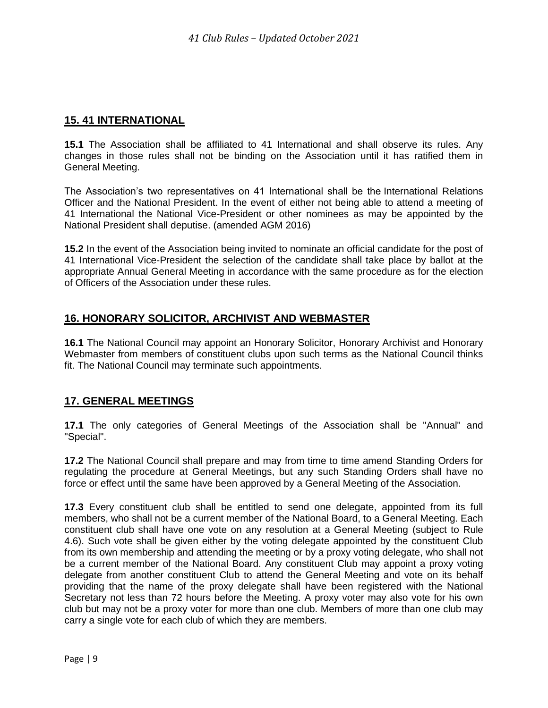## **15. 41 INTERNATIONAL**

**15.1** The Association shall be affiliated to 41 International and shall observe its rules. Any changes in those rules shall not be binding on the Association until it has ratified them in General Meeting.

The Association's two representatives on 41 International shall be the International Relations Officer and the National President. In the event of either not being able to attend a meeting of 41 International the National Vice-President or other nominees as may be appointed by the National President shall deputise. (amended AGM 2016)

**15.2** In the event of the Association being invited to nominate an official candidate for the post of 41 International Vice-President the selection of the candidate shall take place by ballot at the appropriate Annual General Meeting in accordance with the same procedure as for the election of Officers of the Association under these rules.

# **16. HONORARY SOLICITOR, ARCHIVIST AND WEBMASTER**

**16.1** The National Council may appoint an Honorary Solicitor, Honorary Archivist and Honorary Webmaster from members of constituent clubs upon such terms as the National Council thinks fit. The National Council may terminate such appointments.

#### **17. GENERAL MEETINGS**

**17.1** The only categories of General Meetings of the Association shall be "Annual" and "Special".

**17.2** The National Council shall prepare and may from time to time amend Standing Orders for regulating the procedure at General Meetings, but any such Standing Orders shall have no force or effect until the same have been approved by a General Meeting of the Association.

**17.3** Every constituent club shall be entitled to send one delegate, appointed from its full members, who shall not be a current member of the National Board, to a General Meeting. Each constituent club shall have one vote on any resolution at a General Meeting (subject to Rule 4.6). Such vote shall be given either by the voting delegate appointed by the constituent Club from its own membership and attending the meeting or by a proxy voting delegate, who shall not be a current member of the National Board. Any constituent Club may appoint a proxy voting delegate from another constituent Club to attend the General Meeting and vote on its behalf providing that the name of the proxy delegate shall have been registered with the National Secretary not less than 72 hours before the Meeting. A proxy voter may also vote for his own club but may not be a proxy voter for more than one club. Members of more than one club may carry a single vote for each club of which they are members.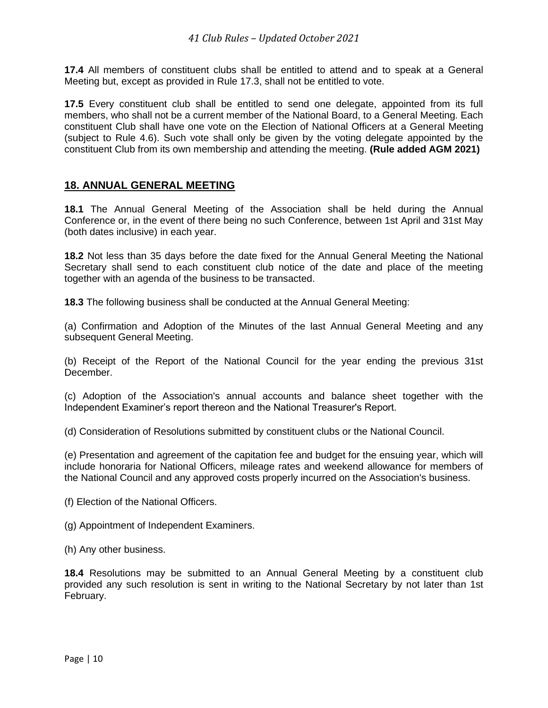**17.4** All members of constituent clubs shall be entitled to attend and to speak at a General Meeting but, except as provided in Rule 17.3, shall not be entitled to vote.

**17.5** Every constituent club shall be entitled to send one delegate, appointed from its full members, who shall not be a current member of the National Board, to a General Meeting. Each constituent Club shall have one vote on the Election of National Officers at a General Meeting (subject to Rule 4.6). Such vote shall only be given by the voting delegate appointed by the constituent Club from its own membership and attending the meeting. **(Rule added AGM 2021)**

#### **18. ANNUAL GENERAL MEETING**

**18.1** The Annual General Meeting of the Association shall be held during the Annual Conference or, in the event of there being no such Conference, between 1st April and 31st May (both dates inclusive) in each year.

**18.2** Not less than 35 days before the date fixed for the Annual General Meeting the National Secretary shall send to each constituent club notice of the date and place of the meeting together with an agenda of the business to be transacted.

**18.3** The following business shall be conducted at the Annual General Meeting:

(a) Confirmation and Adoption of the Minutes of the last Annual General Meeting and any subsequent General Meeting.

(b) Receipt of the Report of the National Council for the year ending the previous 31st December.

(c) Adoption of the Association's annual accounts and balance sheet together with the Independent Examiner's report thereon and the National Treasurer's Report.

(d) Consideration of Resolutions submitted by constituent clubs or the National Council.

(e) Presentation and agreement of the capitation fee and budget for the ensuing year, which will include honoraria for National Officers, mileage rates and weekend allowance for members of the National Council and any approved costs properly incurred on the Association's business.

- (f) Election of the National Officers.
- (g) Appointment of Independent Examiners.
- (h) Any other business.

**18.4** Resolutions may be submitted to an Annual General Meeting by a constituent club provided any such resolution is sent in writing to the National Secretary by not later than 1st February.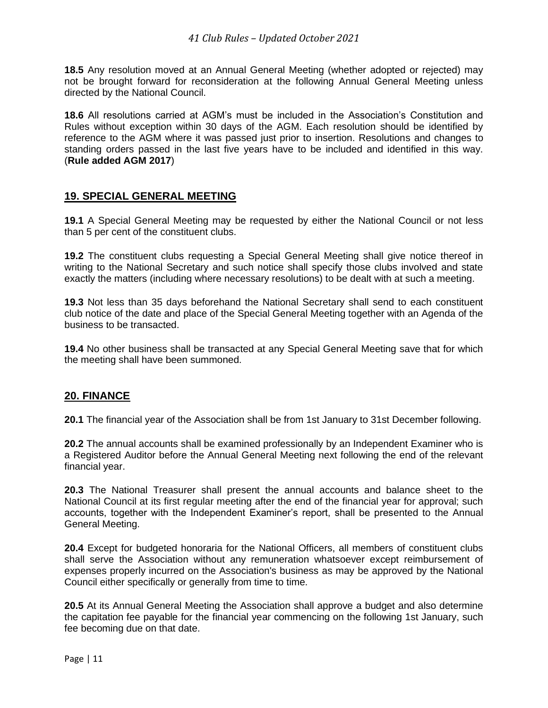**18.5** Any resolution moved at an Annual General Meeting (whether adopted or rejected) may not be brought forward for reconsideration at the following Annual General Meeting unless directed by the National Council.

**18.6** All resolutions carried at AGM's must be included in the Association's Constitution and Rules without exception within 30 days of the AGM. Each resolution should be identified by reference to the AGM where it was passed just prior to insertion. Resolutions and changes to standing orders passed in the last five years have to be included and identified in this way. (**Rule added AGM 2017**)

#### **19. SPECIAL GENERAL MEETING**

**19.1** A Special General Meeting may be requested by either the National Council or not less than 5 per cent of the constituent clubs.

**19.2** The constituent clubs requesting a Special General Meeting shall give notice thereof in writing to the National Secretary and such notice shall specify those clubs involved and state exactly the matters (including where necessary resolutions) to be dealt with at such a meeting.

**19.3** Not less than 35 days beforehand the National Secretary shall send to each constituent club notice of the date and place of the Special General Meeting together with an Agenda of the business to be transacted.

**19.4** No other business shall be transacted at any Special General Meeting save that for which the meeting shall have been summoned.

#### **20. FINANCE**

**20.1** The financial year of the Association shall be from 1st January to 31st December following.

**20.2** The annual accounts shall be examined professionally by an Independent Examiner who is a Registered Auditor before the Annual General Meeting next following the end of the relevant financial year.

**20.3** The National Treasurer shall present the annual accounts and balance sheet to the National Council at its first regular meeting after the end of the financial year for approval; such accounts, together with the Independent Examiner's report, shall be presented to the Annual General Meeting.

**20.4** Except for budgeted honoraria for the National Officers, all members of constituent clubs shall serve the Association without any remuneration whatsoever except reimbursement of expenses properly incurred on the Association's business as may be approved by the National Council either specifically or generally from time to time.

**20.5** At its Annual General Meeting the Association shall approve a budget and also determine the capitation fee payable for the financial year commencing on the following 1st January, such fee becoming due on that date.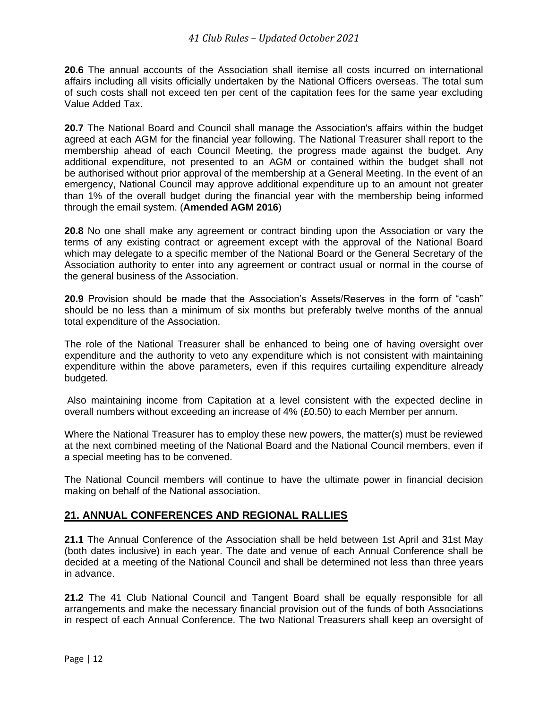**20.6** The annual accounts of the Association shall itemise all costs incurred on international affairs including all visits officially undertaken by the National Officers overseas. The total sum of such costs shall not exceed ten per cent of the capitation fees for the same year excluding Value Added Tax.

**20.7** The National Board and Council shall manage the Association's affairs within the budget agreed at each AGM for the financial year following. The National Treasurer shall report to the membership ahead of each Council Meeting, the progress made against the budget. Any additional expenditure, not presented to an AGM or contained within the budget shall not be authorised without prior approval of the membership at a General Meeting. In the event of an emergency, National Council may approve additional expenditure up to an amount not greater than 1% of the overall budget during the financial year with the membership being informed through the email system. (**Amended AGM 2016**)

**20.8** No one shall make any agreement or contract binding upon the Association or vary the terms of any existing contract or agreement except with the approval of the National Board which may delegate to a specific member of the National Board or the General Secretary of the Association authority to enter into any agreement or contract usual or normal in the course of the general business of the Association.

**20.9** Provision should be made that the Association's Assets/Reserves in the form of "cash" should be no less than a minimum of six months but preferably twelve months of the annual total expenditure of the Association.

The role of the National Treasurer shall be enhanced to being one of having oversight over expenditure and the authority to veto any expenditure which is not consistent with maintaining expenditure within the above parameters, even if this requires curtailing expenditure already budgeted.

Also maintaining income from Capitation at a level consistent with the expected decline in overall numbers without exceeding an increase of 4% (£0.50) to each Member per annum.

Where the National Treasurer has to employ these new powers, the matter(s) must be reviewed at the next combined meeting of the National Board and the National Council members, even if a special meeting has to be convened.

The National Council members will continue to have the ultimate power in financial decision making on behalf of the National association.

#### **21. ANNUAL CONFERENCES AND REGIONAL RALLIES**

**21.1** The Annual Conference of the Association shall be held between 1st April and 31st May (both dates inclusive) in each year. The date and venue of each Annual Conference shall be decided at a meeting of the National Council and shall be determined not less than three years in advance.

**21.2** The 41 Club National Council and Tangent Board shall be equally responsible for all arrangements and make the necessary financial provision out of the funds of both Associations in respect of each Annual Conference. The two National Treasurers shall keep an oversight of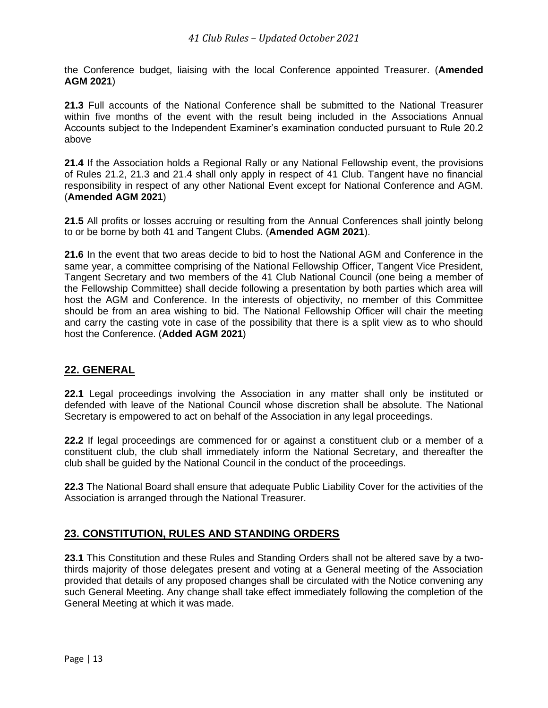the Conference budget, liaising with the local Conference appointed Treasurer. (**Amended AGM 2021**)

**21.3** Full accounts of the National Conference shall be submitted to the National Treasurer within five months of the event with the result being included in the Associations Annual Accounts subject to the Independent Examiner's examination conducted pursuant to Rule 20.2 above

**21.4** If the Association holds a Regional Rally or any National Fellowship event, the provisions of Rules 21.2, 21.3 and 21.4 shall only apply in respect of 41 Club. Tangent have no financial responsibility in respect of any other National Event except for National Conference and AGM. (**Amended AGM 2021**)

21.5 All profits or losses accruing or resulting from the Annual Conferences shall jointly belong to or be borne by both 41 and Tangent Clubs. (**Amended AGM 2021**).

**21.6** In the event that two areas decide to bid to host the National AGM and Conference in the same year, a committee comprising of the National Fellowship Officer, Tangent Vice President, Tangent Secretary and two members of the 41 Club National Council (one being a member of the Fellowship Committee) shall decide following a presentation by both parties which area will host the AGM and Conference. In the interests of objectivity, no member of this Committee should be from an area wishing to bid. The National Fellowship Officer will chair the meeting and carry the casting vote in case of the possibility that there is a split view as to who should host the Conference. (**Added AGM 2021**)

#### **22. GENERAL**

**22.1** Legal proceedings involving the Association in any matter shall only be instituted or defended with leave of the National Council whose discretion shall be absolute. The National Secretary is empowered to act on behalf of the Association in any legal proceedings.

**22.2** If legal proceedings are commenced for or against a constituent club or a member of a constituent club, the club shall immediately inform the National Secretary, and thereafter the club shall be guided by the National Council in the conduct of the proceedings.

**22.3** The National Board shall ensure that adequate Public Liability Cover for the activities of the Association is arranged through the National Treasurer.

#### **23. CONSTITUTION, RULES AND STANDING ORDERS**

**23.1** This Constitution and these Rules and Standing Orders shall not be altered save by a twothirds majority of those delegates present and voting at a General meeting of the Association provided that details of any proposed changes shall be circulated with the Notice convening any such General Meeting. Any change shall take effect immediately following the completion of the General Meeting at which it was made.